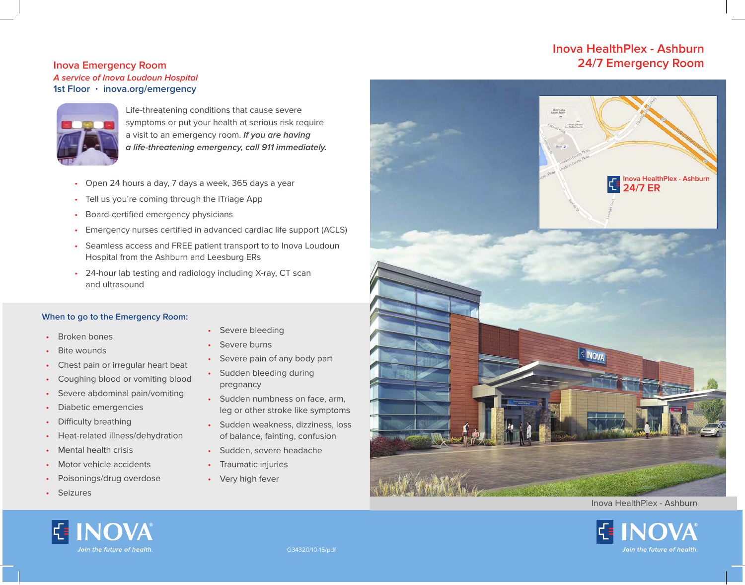## **Inova HealthPlex - Ashburn Inova Emergency Room 24/7 Emergency Room**

# **A service of Inova Loudoun Hospital 1st Floor · inova.org/emergency**



Life-threatening conditions that cause severe symptoms or put your health at serious risk require a visit to an emergency room. **If you are having a life-threatening emergency, call 911 immediately.**

- Open 24 hours a day, 7 days a week, 365 days a year
- Tell us you're coming through the iTriage App
- Board-certified emergency physicians
- Emergency nurses certified in advanced cardiac life support (ACLS)
- Seamless access and FREE patient transport to to Inova Loudoun Hospital from the Ashburn and Leesburg ERs
- 24-hour lab testing and radiology including X-ray, CT scan and ultrasound

#### **When to go to the Emergency Room:**

- Broken bones
- **Bite wounds**
- Chest pain or irregular heart beat
- Coughing blood or vomiting blood
- Severe abdominal pain/vomiting
- Diabetic emergencies
- Difficulty breathing
- Heat-related illness/dehydration
- Mental health crisis
- Motor vehicle accidents
- Poisonings/drug overdose
- **Seizures**
- Severe bleeding
- Severe burns
- Severe pain of any body part
- Sudden bleeding during pregnancy
- Sudden numbness on face, arm, leg or other stroke like symptoms
- Sudden weakness, dizziness, loss of balance, fainting, confusion
- Sudden, severe headache
- Traumatic injuries
- Very high fever



#### Inova HealthPlex - Ashburn